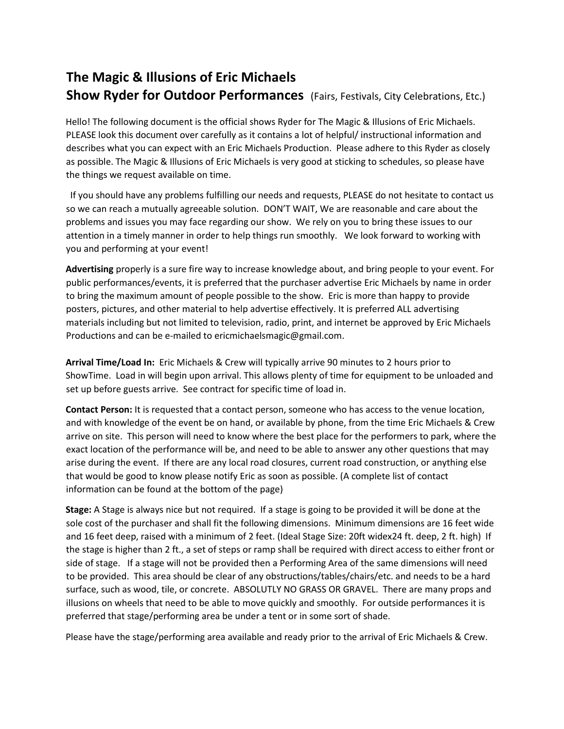## **The Magic & Illusions of Eric Michaels Show Ryder for Outdoor Performances** (Fairs, Festivals, City Celebrations, Etc.)

Hello! The following document is the official shows Ryder for The Magic & Illusions of Eric Michaels. PLEASE look this document over carefully as it contains a lot of helpful/ instructional information and describes what you can expect with an Eric Michaels Production. Please adhere to this Ryder as closely as possible. The Magic & Illusions of Eric Michaels is very good at sticking to schedules, so please have the things we request available on time.

 If you should have any problems fulfilling our needs and requests, PLEASE do not hesitate to contact us so we can reach a mutually agreeable solution. DON'T WAIT, We are reasonable and care about the problems and issues you may face regarding our show. We rely on you to bring these issues to our attention in a timely manner in order to help things run smoothly. We look forward to working with you and performing at your event!

**Advertising** properly is a sure fire way to increase knowledge about, and bring people to your event. For public performances/events, it is preferred that the purchaser advertise Eric Michaels by name in order to bring the maximum amount of people possible to the show. Eric is more than happy to provide posters, pictures, and other material to help advertise effectively. It is preferred ALL advertising materials including but not limited to television, radio, print, and internet be approved by Eric Michaels Productions and can be e-mailed to ericmichaelsmagic@gmail.com.

**Arrival Time/Load In:** Eric Michaels & Crew will typically arrive 90 minutes to 2 hours prior to ShowTime. Load in will begin upon arrival. This allows plenty of time for equipment to be unloaded and set up before guests arrive. See contract for specific time of load in.

**Contact Person:** It is requested that a contact person, someone who has access to the venue location, and with knowledge of the event be on hand, or available by phone, from the time Eric Michaels & Crew arrive on site. This person will need to know where the best place for the performers to park, where the exact location of the performance will be, and need to be able to answer any other questions that may arise during the event. If there are any local road closures, current road construction, or anything else that would be good to know please notify Eric as soon as possible. (A complete list of contact information can be found at the bottom of the page)

**Stage:** A Stage is always nice but not required. If a stage is going to be provided it will be done at the sole cost of the purchaser and shall fit the following dimensions. Minimum dimensions are 16 feet wide and 16 feet deep, raised with a minimum of 2 feet. (Ideal Stage Size: 20ft widex24 ft. deep, 2 ft. high) If the stage is higher than 2 ft., a set of steps or ramp shall be required with direct access to either front or side of stage. If a stage will not be provided then a Performing Area of the same dimensions will need to be provided. This area should be clear of any obstructions/tables/chairs/etc. and needs to be a hard surface, such as wood, tile, or concrete. ABSOLUTLY NO GRASS OR GRAVEL. There are many props and illusions on wheels that need to be able to move quickly and smoothly. For outside performances it is preferred that stage/performing area be under a tent or in some sort of shade.

Please have the stage/performing area available and ready prior to the arrival of Eric Michaels & Crew.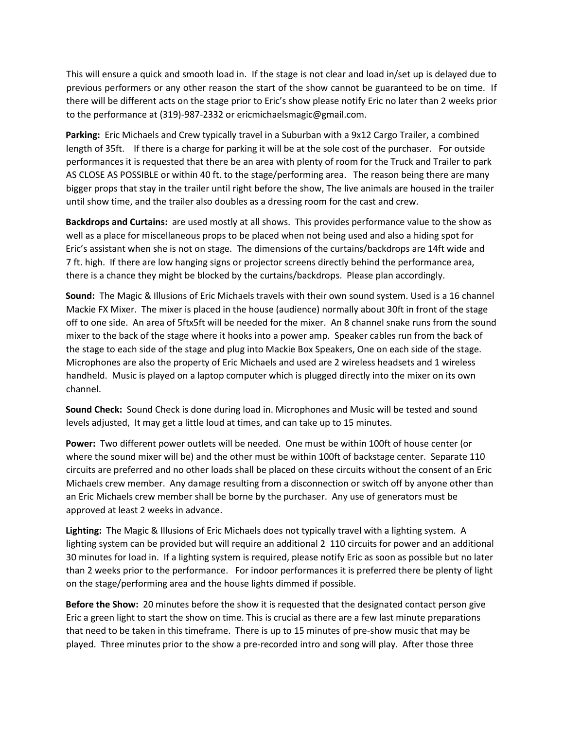This will ensure a quick and smooth load in. If the stage is not clear and load in/set up is delayed due to previous performers or any other reason the start of the show cannot be guaranteed to be on time. If there will be different acts on the stage prior to Eric's show please notify Eric no later than 2 weeks prior to the performance at (319)-987-2332 or ericmichaelsmagic@gmail.com.

**Parking:** Eric Michaels and Crew typically travel in a Suburban with a 9x12 Cargo Trailer, a combined length of 35ft. If there is a charge for parking it will be at the sole cost of the purchaser. For outside performances it is requested that there be an area with plenty of room for the Truck and Trailer to park AS CLOSE AS POSSIBLE or within 40 ft. to the stage/performing area. The reason being there are many bigger props that stay in the trailer until right before the show, The live animals are housed in the trailer until show time, and the trailer also doubles as a dressing room for the cast and crew.

**Backdrops and Curtains:** are used mostly at all shows. This provides performance value to the show as well as a place for miscellaneous props to be placed when not being used and also a hiding spot for Eric's assistant when she is not on stage. The dimensions of the curtains/backdrops are 14ft wide and 7 ft. high. If there are low hanging signs or projector screens directly behind the performance area, there is a chance they might be blocked by the curtains/backdrops. Please plan accordingly.

**Sound:** The Magic & Illusions of Eric Michaels travels with their own sound system. Used is a 16 channel Mackie FX Mixer. The mixer is placed in the house (audience) normally about 30ft in front of the stage off to one side. An area of 5ftx5ft will be needed for the mixer. An 8 channel snake runs from the sound mixer to the back of the stage where it hooks into a power amp. Speaker cables run from the back of the stage to each side of the stage and plug into Mackie Box Speakers, One on each side of the stage. Microphones are also the property of Eric Michaels and used are 2 wireless headsets and 1 wireless handheld. Music is played on a laptop computer which is plugged directly into the mixer on its own channel.

**Sound Check:** Sound Check is done during load in. Microphones and Music will be tested and sound levels adjusted, It may get a little loud at times, and can take up to 15 minutes.

**Power:** Two different power outlets will be needed. One must be within 100ft of house center (or where the sound mixer will be) and the other must be within 100ft of backstage center. Separate 110 circuits are preferred and no other loads shall be placed on these circuits without the consent of an Eric Michaels crew member. Any damage resulting from a disconnection or switch off by anyone other than an Eric Michaels crew member shall be borne by the purchaser. Any use of generators must be approved at least 2 weeks in advance.

**Lighting:** The Magic & Illusions of Eric Michaels does not typically travel with a lighting system. A lighting system can be provided but will require an additional 2 110 circuits for power and an additional 30 minutes for load in. If a lighting system is required, please notify Eric as soon as possible but no later than 2 weeks prior to the performance. For indoor performances it is preferred there be plenty of light on the stage/performing area and the house lights dimmed if possible.

**Before the Show:** 20 minutes before the show it is requested that the designated contact person give Eric a green light to start the show on time. This is crucial as there are a few last minute preparations that need to be taken in this timeframe. There is up to 15 minutes of pre-show music that may be played. Three minutes prior to the show a pre-recorded intro and song will play. After those three